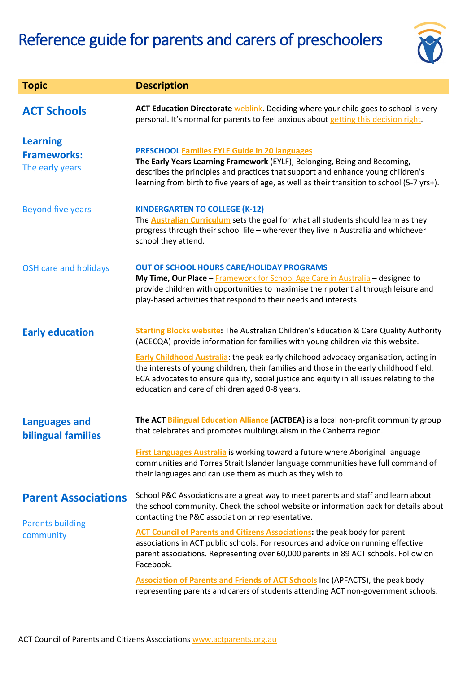

| <b>Topic</b>                                                       | <b>Description</b>                                                                                                                                                                                                                                                                                                                                                                                                                                                                                                      |
|--------------------------------------------------------------------|-------------------------------------------------------------------------------------------------------------------------------------------------------------------------------------------------------------------------------------------------------------------------------------------------------------------------------------------------------------------------------------------------------------------------------------------------------------------------------------------------------------------------|
| <b>ACT Schools</b>                                                 | <b>ACT Education Directorate weblink.</b> Deciding where your child goes to school is very<br>personal. It's normal for parents to feel anxious about getting this decision right.                                                                                                                                                                                                                                                                                                                                      |
| <b>Learning</b><br><b>Frameworks:</b><br>The early years           | <b>PRESCHOOL Families EYLF Guide in 20 languages</b><br>The Early Years Learning Framework (EYLF), Belonging, Being and Becoming,<br>describes the principles and practices that support and enhance young children's<br>learning from birth to five years of age, as well as their transition to school (5-7 yrs+).                                                                                                                                                                                                    |
| <b>Beyond five years</b>                                           | <b>KINDERGARTEN TO COLLEGE (K-12)</b><br>The <b>Australian Curriculum</b> sets the goal for what all students should learn as they<br>progress through their school life - wherever they live in Australia and whichever<br>school they attend.                                                                                                                                                                                                                                                                         |
| <b>OSH care and holidays</b>                                       | <b>OUT OF SCHOOL HOURS CARE/HOLIDAY PROGRAMS</b><br>My Time, Our Place - Framework for School Age Care in Australia - designed to<br>provide children with opportunities to maximise their potential through leisure and<br>play-based activities that respond to their needs and interests.                                                                                                                                                                                                                            |
| <b>Early education</b>                                             | <b>Starting Blocks website:</b> The Australian Children's Education & Care Quality Authority<br>(ACECQA) provide information for families with young children via this website.<br><b>Early Childhood Australia:</b> the peak early childhood advocacy organisation, acting in<br>the interests of young children, their families and those in the early childhood field.<br>ECA advocates to ensure quality, social justice and equity in all issues relating to the<br>education and care of children aged 0-8 years. |
| <b>Languages and</b><br><b>bilingual families</b>                  | The ACT Bilingual Education Alliance (ACTBEA) is a local non-profit community group<br>that celebrates and promotes multilingualism in the Canberra region.<br>First Languages Australia is working toward a future where Aboriginal language<br>communities and Torres Strait Islander language communities have full command of<br>their languages and can use them as much as they wish to.                                                                                                                          |
| <b>Parent Associations</b><br><b>Parents building</b><br>community | School P&C Associations are a great way to meet parents and staff and learn about<br>the school community. Check the school website or information pack for details about<br>contacting the P&C association or representative.<br><b>ACT Council of Parents and Citizens Associations:</b> the peak body for parent<br>associations in ACT public schools. For resources and advice on running effective<br>parent associations. Representing over 60,000 parents in 89 ACT schools. Follow on<br>Facebook.             |
|                                                                    | <b>Association of Parents and Friends of ACT Schools Inc (APFACTS), the peak body</b><br>representing parents and carers of students attending ACT non-government schools.                                                                                                                                                                                                                                                                                                                                              |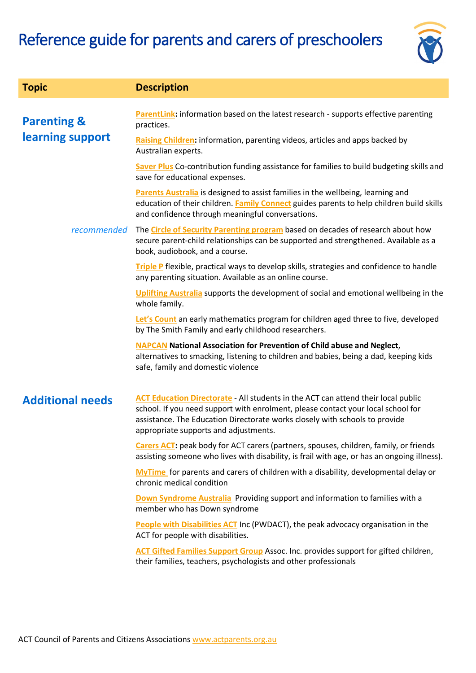

| <b>Topic</b>                               | <b>Description</b>                                                                                                                                                                                                                                                                                   |
|--------------------------------------------|------------------------------------------------------------------------------------------------------------------------------------------------------------------------------------------------------------------------------------------------------------------------------------------------------|
| <b>Parenting &amp;</b><br>learning support | ParentLink: information based on the latest research - supports effective parenting<br>practices.                                                                                                                                                                                                    |
|                                            | Raising Children: information, parenting videos, articles and apps backed by<br>Australian experts.                                                                                                                                                                                                  |
|                                            | Saver Plus Co-contribution funding assistance for families to build budgeting skills and<br>save for educational expenses.                                                                                                                                                                           |
|                                            | Parents Australia is designed to assist families in the wellbeing, learning and<br>education of their children. Family Connect guides parents to help children build skills<br>and confidence through meaningful conversations.                                                                      |
| recommended                                | The <b>Circle of Security Parenting program</b> based on decades of research about how<br>secure parent-child relationships can be supported and strengthened. Available as a<br>book, audiobook, and a course.                                                                                      |
|                                            | Triple P flexible, practical ways to develop skills, strategies and confidence to handle<br>any parenting situation. Available as an online course.                                                                                                                                                  |
|                                            | Uplifting Australia supports the development of social and emotional wellbeing in the<br>whole family.                                                                                                                                                                                               |
|                                            | Let's Count an early mathematics program for children aged three to five, developed<br>by The Smith Family and early childhood researchers.                                                                                                                                                          |
|                                            | <b>NAPCAN</b> National Association for Prevention of Child abuse and Neglect,<br>alternatives to smacking, listening to children and babies, being a dad, keeping kids<br>safe, family and domestic violence                                                                                         |
| <b>Additional needs</b>                    | <b>ACT Education Directorate</b> - All students in the ACT can attend their local public<br>school. If you need support with enrolment, please contact your local school for<br>assistance. The Education Directorate works closely with schools to provide<br>appropriate supports and adjustments. |
|                                            | Carers ACT: peak body for ACT carers (partners, spouses, children, family, or friends<br>assisting someone who lives with disability, is frail with age, or has an ongoing illness).                                                                                                                 |
|                                            | MyTime for parents and carers of children with a disability, developmental delay or<br>chronic medical condition                                                                                                                                                                                     |
|                                            | Down Syndrome Australia Providing support and information to families with a<br>member who has Down syndrome                                                                                                                                                                                         |
|                                            | <b>People with Disabilities ACT</b> Inc (PWDACT), the peak advocacy organisation in the<br>ACT for people with disabilities.                                                                                                                                                                         |
|                                            | <b>ACT Gifted Families Support Group</b> Assoc. Inc. provides support for gifted children,<br>their families, teachers, psychologists and other professionals                                                                                                                                        |
|                                            |                                                                                                                                                                                                                                                                                                      |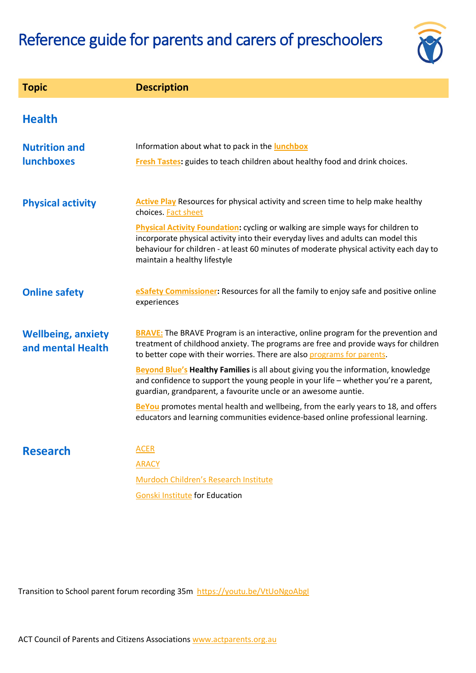

| <b>Topic</b>                                   | <b>Description</b>                                                                                                                                                                                                                                                                                                                                                                                                                                                                                                                                                                                                                                                                      |
|------------------------------------------------|-----------------------------------------------------------------------------------------------------------------------------------------------------------------------------------------------------------------------------------------------------------------------------------------------------------------------------------------------------------------------------------------------------------------------------------------------------------------------------------------------------------------------------------------------------------------------------------------------------------------------------------------------------------------------------------------|
| <b>Health</b>                                  |                                                                                                                                                                                                                                                                                                                                                                                                                                                                                                                                                                                                                                                                                         |
| <b>Nutrition and</b><br><b>lunchboxes</b>      | Information about what to pack in the lunchbox<br>Fresh Tastes: guides to teach children about healthy food and drink choices.                                                                                                                                                                                                                                                                                                                                                                                                                                                                                                                                                          |
| <b>Physical activity</b>                       | <b>Active Play</b> Resources for physical activity and screen time to help make healthy<br>choices. Fact sheet<br>Physical Activity Foundation: cycling or walking are simple ways for children to<br>incorporate physical activity into their everyday lives and adults can model this<br>behaviour for children - at least 60 minutes of moderate physical activity each day to<br>maintain a healthy lifestyle                                                                                                                                                                                                                                                                       |
| <b>Online safety</b>                           | eSafety Commissioner: Resources for all the family to enjoy safe and positive online<br>experiences                                                                                                                                                                                                                                                                                                                                                                                                                                                                                                                                                                                     |
| <b>Wellbeing, anxiety</b><br>and mental Health | <b>BRAVE:</b> The BRAVE Program is an interactive, online program for the prevention and<br>treatment of childhood anxiety. The programs are free and provide ways for children<br>to better cope with their worries. There are also programs for parents.<br><b>Beyond Blue's Healthy Families</b> is all about giving you the information, knowledge<br>and confidence to support the young people in your life - whether you're a parent,<br>guardian, grandparent, a favourite uncle or an awesome auntie.<br>BeYou promotes mental health and wellbeing, from the early years to 18, and offers<br>educators and learning communities evidence-based online professional learning. |
| <b>Research</b>                                | <b>ACER</b><br><b>ARACY</b><br>Murdoch Children's Research Institute<br><b>Gonski Institute for Education</b>                                                                                                                                                                                                                                                                                                                                                                                                                                                                                                                                                                           |

Transition to School parent forum recording 35m<https://youtu.be/VtUoNgoAbgI>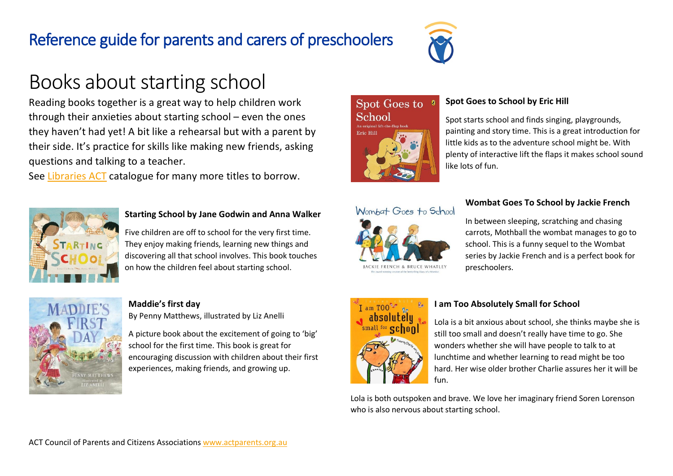

# Books about starting school

Reading books together is a great way to help children work through their anxieties about starting school – even the ones they haven't had yet! A bit like a rehearsal but with a parent by their side. It's practice for skills like making new friends, asking questions and talking to a teacher.

See [Libraries](https://www.library.act.gov.au/find-us) ACT catalogue for many more titles to borrow.



### **Starting School by Jane Godwin and Anna Walker**

Five children are off to school for the very first time. They enjoy making friends, learning new things and discovering all that school involves. This book touches on how the children feel about starting school.



### **[Maddie's](http://www.earlychildhoodaustralia.org.au/shop/product/maddies-first-day/) first day**

By Penny Matthews, illustrated by Liz Anelli

A picture book about the excitement of going to 'big' school for the first time. This book is great for encouraging discussion with children about their first experiences, making friends, and growing up.

# Spot Goes to School  $F_{min}$   $III$



# **Spot Goes to School by Eric Hill**

Spot starts school and finds singing, playgrounds, painting and story time. This is a great introduction for little kids as to the adventure school might be. With plenty of interactive lift the flaps it makes school sound like lots of fun.



### **Wombat Goes To School by Jackie French**

In between sleeping, scratching and chasing carrots, Mothball the wombat manages to go to school. This is a funny sequel to the Wombat series by Jackie French and is a perfect book for preschoolers.



### **I am Too Absolutely Small for School**

Lola is a bit anxious about school, she thinks maybe she is still too small and doesn't really have time to go. She wonders whether she will have people to talk to at lunchtime and whether learning to read might be too hard. Her wise older brother Charlie assures her it will be fun

Lola is both outspoken and brave. We love her imaginary friend Soren Lorenson who is also nervous about starting school.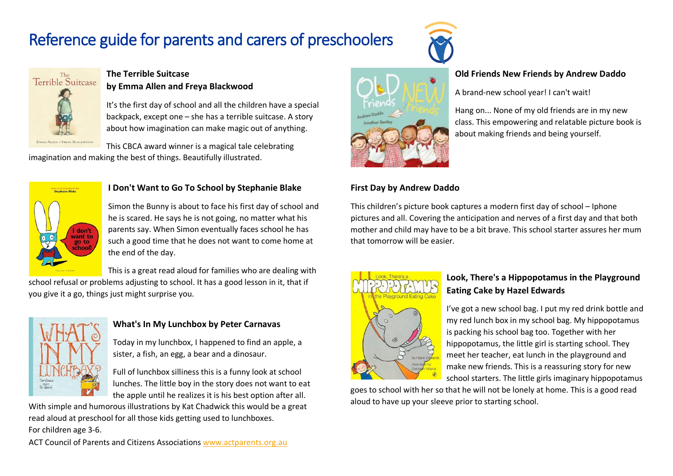

# **Old Friends New Friends by Andrew Daddo**

A brand-new school year! I can't wait!

Hang on... None of my old friends are in my new class. This empowering and relatable picture book is about making friends and being yourself.

# **First Day by Andrew Daddo**

This children's picture book captures a modern first day of school – Iphone pictures and all. Covering the anticipation and nerves of a first day and that both mother and child may have to be a bit brave. This school starter assures her mum that tomorrow will be easier.



# **Look, There's a Hippopotamus in the Playground Eating Cake by Hazel Edwards**

I've got a new school bag. I put my red drink bottle and my red lunch box in my school bag. My hippopotamus is packing his school bag too. Together with her hippopotamus, the little girl is starting school. They meet her teacher, eat lunch in the playground and make new friends. This is a reassuring story for new school starters. The little girls imaginary hippopotamus

goes to school with her so that he will not be lonely at home. This is a good read aloud to have up your sleeve prior to starting school.



# **The Terrible Suitcase**

# **by Emma Allen and Freya Blackwood**

It's the first day of school and all the children have a special backpack, except one – she has a terrible suitcase. A story about how imagination can make magic out of anything.

ALLEN . FREYA BLACKWOOD This CBCA award winner is a magical tale celebrating imagination and making the best of things. Beautifully illustrated.



### **I Don't Want to Go To School by Stephanie Blake**

Simon the Bunny is about to face his first day of school and he is scared. He says he is not going, no matter what his parents say. When Simon eventually faces school he has such a good time that he does not want to come home at the end of the day.

This is a great read aloud for families who are dealing with school refusal or problems adjusting to school. It has a good lesson in it, that if you give it a go, things just might surprise you.



# **What's In My Lunchbox by Peter Carnavas**

Today in my lunchbox, I happened to find an apple, a sister, a fish, an egg, a bear and a dinosaur.

Full of lunchbox silliness this is a funny look at school lunches. The little boy in the story does not want to eat the apple until he realizes it is his best option after all.

With simple and humorous illustrations by Kat Chadwick this would be a great read aloud at preschool for all those kids getting used to lunchboxes. For children age 3-6.

ACT Council of Parents and Citizens Associations [www.actparents.org.au](http://www.actparents.org.au/)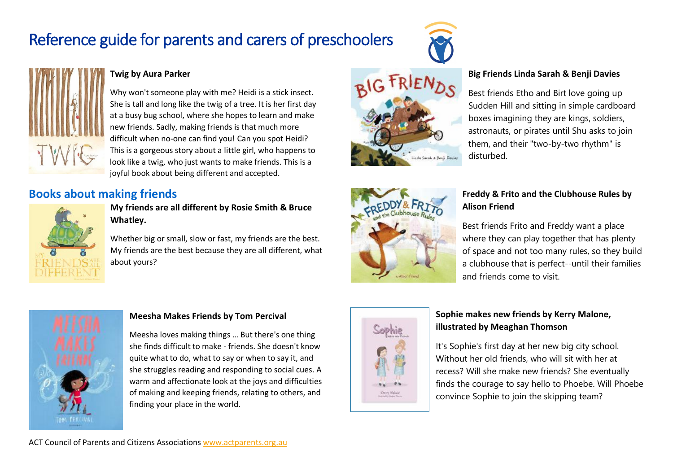

# **Twig by Aura Parker**

Why won't someone play with me? Heidi is a stick insect. She is tall and long like the twig of a tree. It is her first day at a busy bug school, where she hopes to learn and make new friends. Sadly, making friends is that much more difficult when no-one can find you! Can you spot Heidi? This is a gorgeous story about a little girl, who happens to look like a twig, who just wants to make friends. This is a joyful book about being different and accepted.

# **Books about making friends**



# **My friends are all different by Rosie Smith & Bruce Whatley.**

Whether big or small, slow or fast, my friends are the best. My friends are the best because they are all different, what about yours?





# **Big Friends Linda Sarah & Benji Davies**

Best friends Etho and Birt love going up Sudden Hill and sitting in simple cardboard boxes imagining they are kings, soldiers, astronauts, or pirates until Shu asks to join them, and their "two-by-two rhythm" is disturbed.

# **Freddy & Frito and the Clubhouse Rules by Alison Friend**

Best friends Frito and Freddy want a place where they can play together that has plenty of space and not too many rules, so they build a clubhouse that is perfect--until their families and friends come to visit.



# **Meesha Makes Friends by Tom Percival**

Meesha loves making things … But there's one thing she finds difficult to make - friends. She doesn't know quite what to do, what to say or when to say it, and she struggles reading and responding to social cues. A warm and affectionate look at the joys and difficulties of making and keeping friends, relating to others, and finding your place in the world.



# **Sophie makes new friends by Kerry Malone, illustrated by Meaghan Thomson**

It's Sophie's first day at her new big city school. Without her old friends, who will sit with her at recess? Will she make new friends? She eventually finds the courage to say hello to Phoebe. Will Phoebe convince Sophie to join the skipping team?